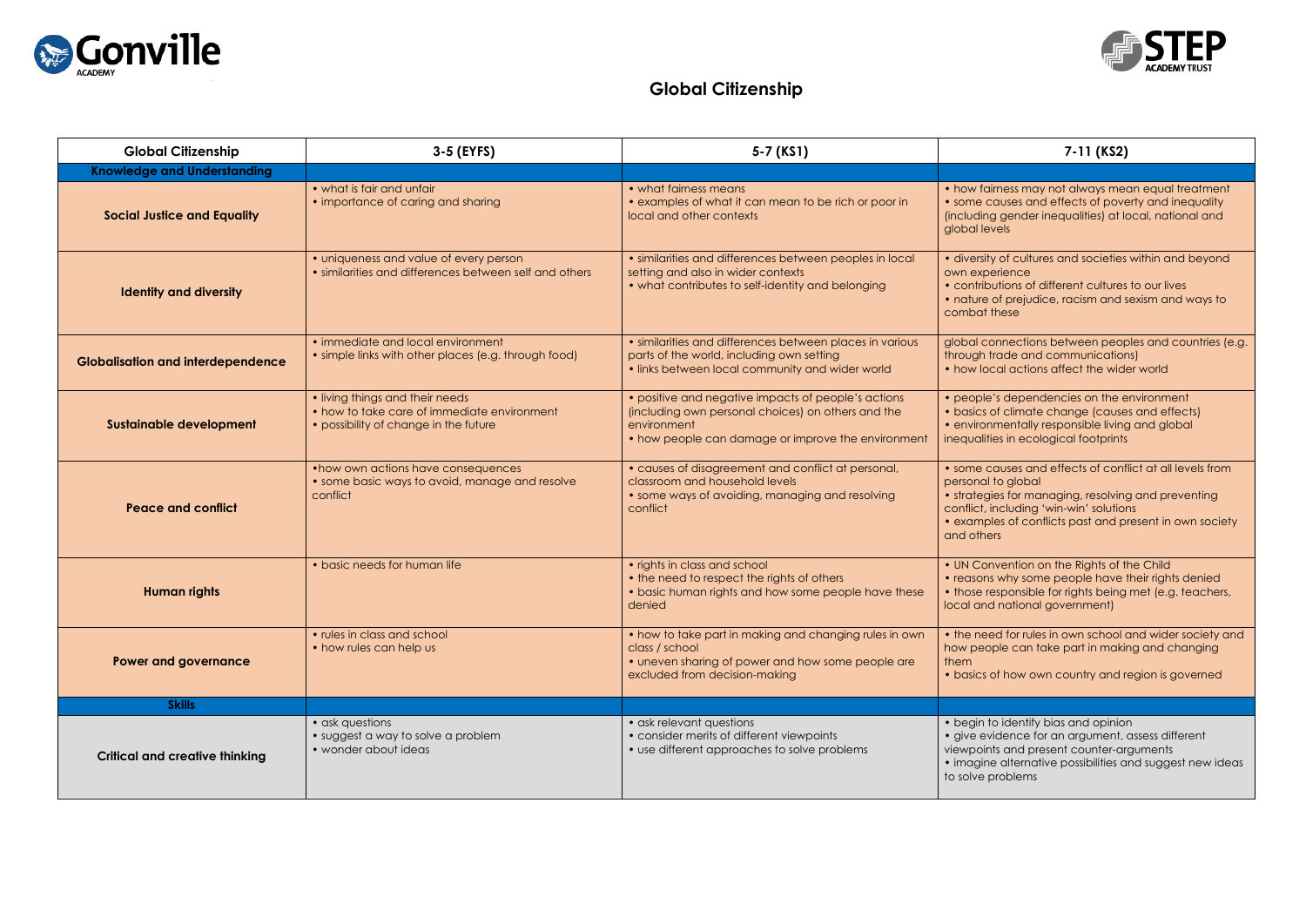

## **Global Citizenship**

| <b>Global Citizenship</b>                | 3-5 (EYFS)                                                                                                              | 5-7 (KS1)                                                                                                                                                                      | 7-11 (KS2)                                                                                                                                                                                    |
|------------------------------------------|-------------------------------------------------------------------------------------------------------------------------|--------------------------------------------------------------------------------------------------------------------------------------------------------------------------------|-----------------------------------------------------------------------------------------------------------------------------------------------------------------------------------------------|
| <b>Knowledge and Understanding</b>       |                                                                                                                         |                                                                                                                                                                                |                                                                                                                                                                                               |
| <b>Social Justice and Equality</b>       | • what is fair and unfair<br>• importance of caring and sharing                                                         | • what fairness means<br>• examples of what it can mean to be rich or poor in<br>local and other contexts                                                                      | • how fairness may not always me<br>• some causes and effects of pove<br>(including gender inequalities) at k<br>global levels                                                                |
| <b>Identity and diversity</b>            | • uniqueness and value of every person<br>• similarities and differences between self and others                        | · similarities and differences between peoples in local<br>setting and also in wider contexts<br>• what contributes to self-identity and belonging                             | · diversity of cultures and societies<br>own experience<br>· contributions of different cultures<br>· nature of prejudice, racism and s<br>combat these                                       |
| <b>Globalisation and interdependence</b> | • immediate and local environment<br>• simple links with other places (e.g. through food)                               | · similarities and differences between places in various<br>parts of the world, including own setting<br>• links between local community and wider world                       | global connections between peop<br>through trade and communication<br>• how local actions affect the wide                                                                                     |
| <b>Sustainable development</b>           | • living things and their needs<br>• how to take care of immediate environment<br>• possibility of change in the future | • positive and negative impacts of people's actions<br>(including own personal choices) on others and the<br>environment<br>• how people can damage or improve the environment | • people's dependencies on the e<br>· basics of climate change (cause<br>· environmentally responsible living<br>inequalities in ecological footprints                                        |
| <b>Peace and conflict</b>                | • how own actions have consequences<br>• some basic ways to avoid, manage and resolve<br>conflict                       | • causes of disagreement and conflict at personal,<br>classroom and household levels<br>• some ways of avoiding, managing and resolving<br>conflict                            | • some causes and effects of conf<br>personal to global<br>• strategies for managing, resolving<br>conflict, including 'win-win' solution<br>• examples of conflicts past and p<br>and others |
| <b>Human rights</b>                      | • basic needs for human life                                                                                            | • rights in class and school<br>• the need to respect the rights of others<br>• basic human rights and how some people have these<br>denied                                    | • UN Convention on the Rights of t<br>• reasons why some people have<br>• those responsible for rights being<br>local and national government)                                                |
| Power and governance                     | • rules in class and school<br>• how rules can help us                                                                  | • how to take part in making and changing rules in own<br>class / school<br>• uneven sharing of power and how some people are<br>excluded from decision-making                 | • the need for rules in own school<br>how people can take part in maki<br>them<br>• basics of how own country and r                                                                           |
| <b>Skills</b>                            |                                                                                                                         |                                                                                                                                                                                |                                                                                                                                                                                               |
| <b>Critical and creative thinking</b>    | • ask questions<br>• suggest a way to solve a problem<br>• wonder about ideas                                           | • ask relevant questions<br>• consider merits of different viewpoints<br>• use different approaches to solve problems                                                          | • begin to identify bias and opinior<br>• give evidence for an argument,<br>viewpoints and present counter-ar<br>· imagine alternative possibilities a<br>to solve problems                   |



irness may not always mean equal treatment causes and effects of poverty and inequality ng gender inequalities) at local, national and avels

ty of cultures and societies within and beyond berience

outions of different cultures to our lives

of prejudice, racism and sexism and ways to these

connections between peoples and countries (e.g. trade and communications)  $\alpha$  actions affect the wider world

 $e$ 's dependencies on the environment of climate change (causes and effects) nmentally responsible living and global ties in ecological footprints

causes and effects of conflict at all levels from I to global

gies for managing, resolving and preventing including 'win-win' solutions

bles of conflicts past and present in own society ers

nvention on the Rights of the Child is why some people have their rights denied responsible for rights being met (e.g. teachers, d national government)

eed for rules in own school and wider society and ople can take part in making and changing

of how own country and region is governed

to identify bias and opinion vidence for an argument, assess different nts and present counter-arguments e alternative possibilities and suggest new ideas problems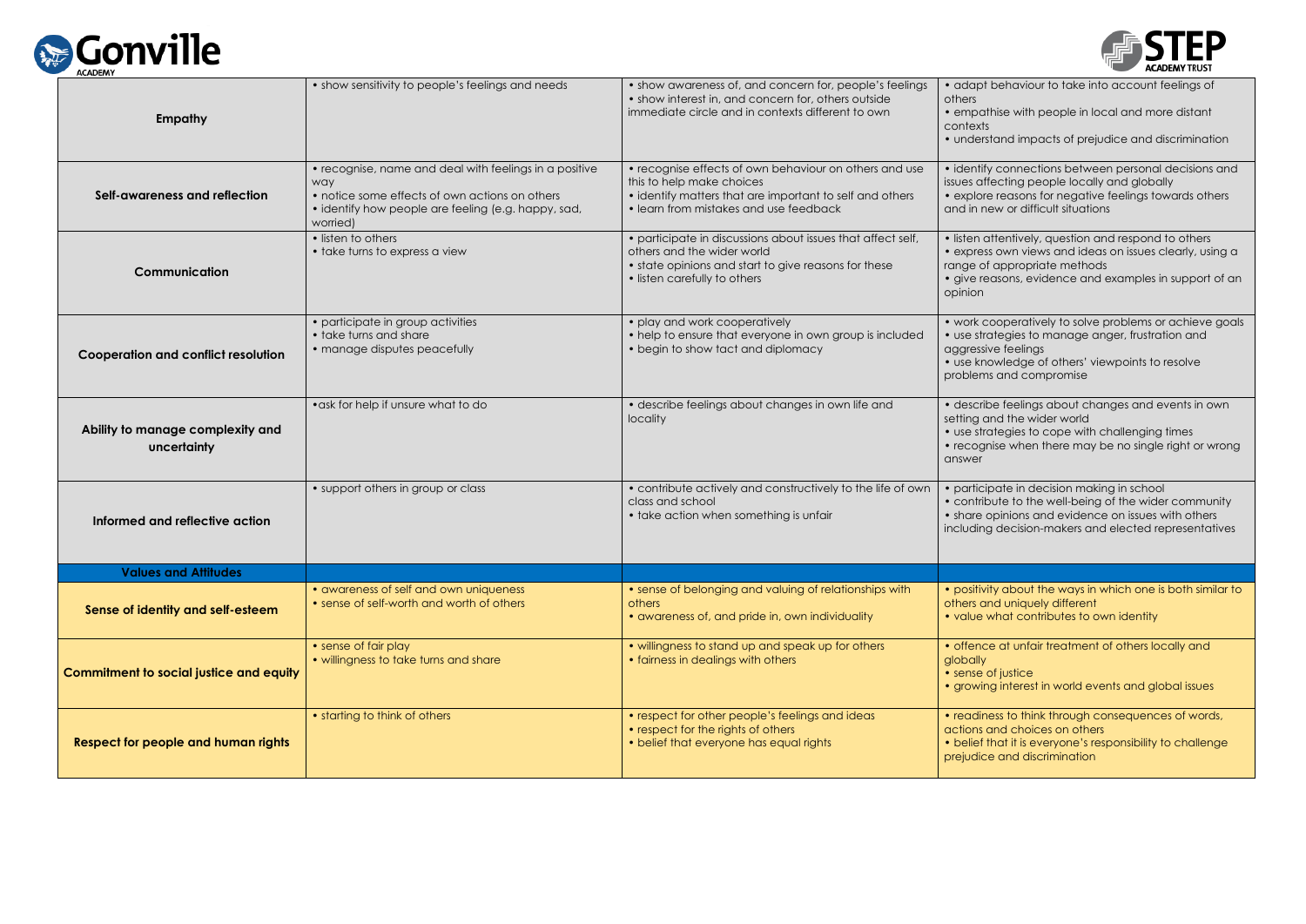

| Empathy                                         | • show sensitivity to people's feelings and needs                                                                                                                                  | • show awareness of, and concern for, people's feelings<br>• show interest in, and concern for, others outside<br>immediate circle and in contexts different to own                       | • adapt<br>others<br>• empatl<br>contexts<br>• underst        |
|-------------------------------------------------|------------------------------------------------------------------------------------------------------------------------------------------------------------------------------------|-------------------------------------------------------------------------------------------------------------------------------------------------------------------------------------------|---------------------------------------------------------------|
| Self-awareness and reflection                   | • recognise, name and deal with feelings in a positive<br>way<br>• notice some effects of own actions on others<br>• identify how people are feeling (e.g. happy, sad,<br>worried) | • recognise effects of own behaviour on others and use<br>this to help make choices<br>• identify matters that are important to self and others<br>• learn from mistakes and use feedback | • identify<br>issues aff<br>• explore<br>and in ne            |
| <b>Communication</b>                            | • listen to others<br>• take turns to express a view                                                                                                                               | • participate in discussions about issues that affect self,<br>others and the wider world<br>• state opinions and start to give reasons for these<br>• listen carefully to others         | · listen a<br>• express<br>range of<br>· give re<br>opinion   |
| <b>Cooperation and conflict resolution</b>      | • participate in group activities<br>• take turns and share<br>• manage disputes peacefully                                                                                        | • play and work cooperatively<br>• help to ensure that everyone in own group is included<br>• begin to show tact and diplomacy                                                            | • work co<br>• use strc<br>aggressiv<br>· use knc<br>problems |
| Ability to manage complexity and<br>uncertainty | • ask for help if unsure what to do                                                                                                                                                | · describe feelings about changes in own life and<br>locality                                                                                                                             | · describ<br>setting ar<br>• use strc<br>• recogn<br>answer   |
| Informed and reflective action                  | • support others in group or class                                                                                                                                                 | • contribute actively and constructively to the life of own<br>class and school<br>• take action when something is unfair                                                                 | • particip<br>• contrib<br>• share c<br>including             |
| Values and Attitudes                            |                                                                                                                                                                                    |                                                                                                                                                                                           |                                                               |
| Sense of identity and self-esteem               | • awareness of self and own uniqueness<br>• sense of self-worth and worth of others                                                                                                | • sense of belonging and valuing of relationships with<br>others<br>• awareness of, and pride in, own individuality                                                                       | • positivit<br>others ar<br>• value v                         |
| <b>Commitment to social justice and equity</b>  | • sense of fair play<br>• willingness to take turns and share                                                                                                                      | • willingness to stand up and speak up for others<br>• fairness in dealings with others                                                                                                   | • offence<br>globally<br>• sense c<br>• growing               |
| <b>Respect for people and human rights</b>      | • starting to think of others                                                                                                                                                      | • respect for other people's feelings and ideas<br>• respect for the rights of others<br>• belief that everyone has equal rights                                                          | • readine<br>actions c<br>• belief tl<br>prejudice            |



behaviour to take into account feelings of

thise with people in local and more distant

stand impacts of prejudice and discrimination

y connections between personal decisions and ifecting people locally and globally e reasons for negative feelings towards others aew or difficult situations

attentively, question and respond to others is own views and ideas on issues clearly, using a f appropriate methods

easons, evidence and examples in support of an

cooperatively to solve problems or achieve goals ategies to manage anger, frustration and ive feelings

owledge of others' viewpoints to resolve ns and compromise

be feelings about changes and events in own and the wider world

ategies to cope with challenging times

nise when there may be no single right or wrong

ipate in decision making in school bute to the well-being of the wider community opinions and evidence on issues with others g decision-makers and elected representatives

vity about the ways in which one is both similar to and uniquely different what contributes to own identity

be at unfair treatment of others locally and

of justice hg interest in world events and global issues

ess to think through consequences of words, and choices on others that it is everyone's responsibility to challenge e and discrimination